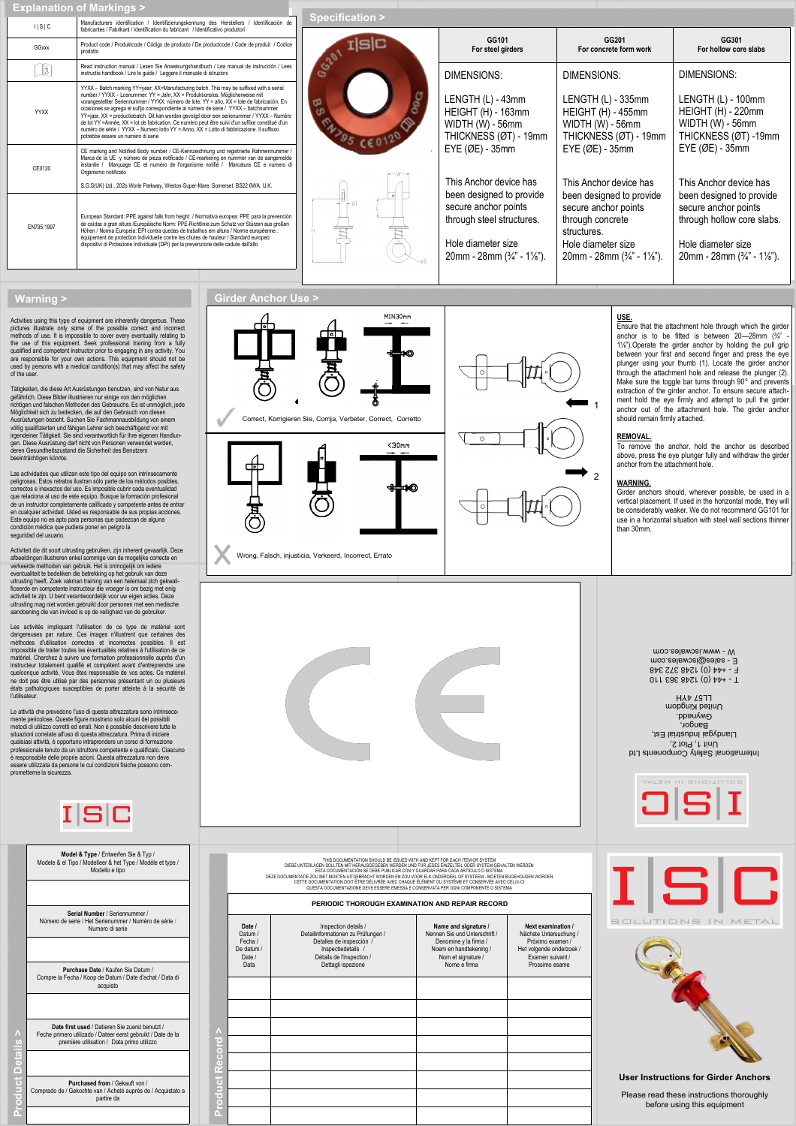|  |  | <b>Explanation of Markings &gt;</b> |  |
|--|--|-------------------------------------|--|
|  |  |                                     |  |

| 1 S C      | Manufacturers identification / Identifizierungskennung des Herstellers / Identificación de<br>fabricantes / Fabrikant / Identification du fabricant / Identificativo produttori                                                                                                                                                                                                                                                                                                                                                                                                                                                                                                                       | <b>Specification &gt;</b> |                                                                                                                                                                                                                                                                                                   |                                                                                                                                                                                                                                                                                                            |                                                                                                                                                                                   |  |
|------------|-------------------------------------------------------------------------------------------------------------------------------------------------------------------------------------------------------------------------------------------------------------------------------------------------------------------------------------------------------------------------------------------------------------------------------------------------------------------------------------------------------------------------------------------------------------------------------------------------------------------------------------------------------------------------------------------------------|---------------------------|---------------------------------------------------------------------------------------------------------------------------------------------------------------------------------------------------------------------------------------------------------------------------------------------------|------------------------------------------------------------------------------------------------------------------------------------------------------------------------------------------------------------------------------------------------------------------------------------------------------------|-----------------------------------------------------------------------------------------------------------------------------------------------------------------------------------|--|
| GGxxx      | Product code / Produktcode / Código de producto / De productcode / Code de produit / Codice<br>prodotto                                                                                                                                                                                                                                                                                                                                                                                                                                                                                                                                                                                               | slc                       | GG101<br>For steel girders                                                                                                                                                                                                                                                                        | GG201<br>For concrete form work                                                                                                                                                                                                                                                                            | GG301<br>For hollow core slabs                                                                                                                                                    |  |
| lî         | Read instruction manual / Lesen Sie Anweisungshandbuch / Lea manual de instrucción / Lees<br>instructie handbook / Lire le quide / Leggere il manuale di istruzioni                                                                                                                                                                                                                                                                                                                                                                                                                                                                                                                                   | G2P                       | DIMENSIONS:                                                                                                                                                                                                                                                                                       | DIMENSIONS:                                                                                                                                                                                                                                                                                                | DIMENSIONS:                                                                                                                                                                       |  |
| YYXX       | YYXX - Batch marking YY=year; XX=Manufacturing batch. This may be suffixed with a serial<br>number / YYXX - Losnummer: YY = Jahr, XX = Produktionslos, Möglicherweise mit<br>vorangestellter Seriennummer / YYXX: número de lote: YY = año, XX = lote de fabricación. En<br>ocasiones se agrega el sufijo correspondiente al número de serie / YYXX - batchnummer<br>YY=jaar, XX = productiebatch. Dit kan worden gevolgd door een serienummer / YYXX - Numéro<br>de lot YY =Année, XX = lot de fabrication. Ce numéro peut être suivi d'un suffixe constitué d'un<br>numéro de série / YYXX - Numero lotto YY = Anno, XX = Lotto di fabbricazione. Il suffisso<br>potrebbe essere un numero di serie | ത<br>95                   | LENGTH (L) - 43mm<br>HEIGHT (H) - 163mm<br>WIDTH (W) - 56mm<br>THICKNESS (ØT) - 19mm<br>$EYE$ ( $ØE$ ) - 35mm<br>This Anchor device has<br>been designed to provide<br>secure anchor points<br>through steel structures.<br>Hole diameter size<br>$20$ mm - $28$ mm $(3/4)$ " - $1\frac{1}{8})$ . | LENGTH (L) - 335mm<br><b>HEIGHT (H) - 455mm</b><br>WIDTH (W) - 56mm<br>THICKNESS (ØT) - 19mm<br>EYE (ØE) - 35mm<br>This Anchor device has<br>been designed to provide<br>secure anchor points<br>through concrete<br>structures.<br>Hole diameter size<br>$20$ mm - $28$ mm $(3/4)$ " - $1\frac{1}{8}$ "). | LENGTH (L) - 100mm<br>HEIGHT (H) - 220mm<br>$WIDTH (W) - 56mm$<br>THICKNESS (ØT) -19mm                                                                                            |  |
| CE0120     | CE marking and Notified Body number / CE-Kennzeichnung und registrierte Rahmennummer /<br>Marca de la UE y número de pieza notificado / CE-markering en nummer van de aangemelde<br>instantie / Marquage CE et numéro de l'organisme notifié / Marcatura CE e numero di<br>Organismo notificato                                                                                                                                                                                                                                                                                                                                                                                                       |                           |                                                                                                                                                                                                                                                                                                   |                                                                                                                                                                                                                                                                                                            | EYE (ØE) - 35mm                                                                                                                                                                   |  |
|            | S.G.S(UK) Ltd., 202b Worle Parkway, Weston-Super-Mare, Somerset. BS22 6WA. U.K.                                                                                                                                                                                                                                                                                                                                                                                                                                                                                                                                                                                                                       |                           |                                                                                                                                                                                                                                                                                                   |                                                                                                                                                                                                                                                                                                            | This Anchor device has<br>been designed to provide<br>secure anchor points<br>through hollow core slabs.<br>Hole diameter size<br>$20$ mm - $28$ mm $(3/4)$ " - $1\frac{1}{8})$ . |  |
| EN795:1997 | European Standard: PPE against falls from height / Normativa europea: PPE para la prevención<br>de caídas a gran altura /Europäische Norm: PPE-Richtlinie zum Schutz vor Stürzen aus großen<br>Höhen / Norma Europeia: EPI contra quedas de trabalhos em altura / Norme européenne :<br>équipement de protection individuelle contre les chutes de hauteur / Standard europeo:<br>dispositivi di Protezione Individuale (DPI) per la prevenzione delle cadute dall'alto                                                                                                                                                                                                                               |                           |                                                                                                                                                                                                                                                                                                   |                                                                                                                                                                                                                                                                                                            |                                                                                                                                                                                   |  |
|            |                                                                                                                                                                                                                                                                                                                                                                                                                                                                                                                                                                                                                                                                                                       |                           |                                                                                                                                                                                                                                                                                                   |                                                                                                                                                                                                                                                                                                            |                                                                                                                                                                                   |  |

MIN30mm

 $\sqrt{30}$ mm

ю

**USE.**

should remain firmly attached.

anchor from the attachment hole.

**REMOVAL.**

1

 $\overline{2}$ 

Ensure that the attachment hole through which the girde anchor is to be fitted is between  $20-28$ mm  $(3/4)$ " 1<sup>14</sup>").Operate the girder anchor by holding the pull grip between your first and second finger and press the eye plunger using your thumb (1). Locate the girder anchor through the attachment hole and release the plunger (2). Make sure the toggle bar turns through 90° and prevents extraction of the girder anchor. To ensure secure attachment hold the eye firmly and attempt to pull the girder anchor out of the attachment hole. The girder anchor

To remove the anchor, hold the anchor as described above, press the eye plunger fully and withdraw the girder

**WARNING.** Girder anchors should, wherever possible, be used in a

**Girder Anchor Use >**

 $\mathbf{0}$ 

Correct, Korrigieren Sie, Corrija, Verbeter, Correct, Corretto

## **Warning >**

Activities using this type of equipment are inherently dangerous. These pictures illustrate only some of the possible correct and incorrect<br>methods of use. It is impossible to cover every eventuality relating to<br>the use of this equipment. Seek professional training from a fully<br>qualified and c

Tätigkeiten, die diese Art Ausrüchungen benutzen, sind von Natur aus<br>gefährlich, Diese Bilder illustrieren rur einige von den möglichen<br>erlätigen und falschen Methoden des Gebrauchs. Es ist unmöglich, jede<br>Möglichkeit sich

Las actividades que utilizan este tipo del equipo son intrínsecamente peligrosas. Estos retratos ilustran sólo parte de los métodos posibles, correctos e inexactos del uso. Es imposible cubrir cada eventualidad que relaciona al uso de este equipo. Busque la formación profesional<br>de un instructor completamente calificado y competente antes de entrar<br>en cualquier actividad. Usted es responsable de sus propias acciones.<br>Este equipo

Activiteit die dit soort uitrusting gebruiken, zijn inherent gevaarlijk. Deze<br>afbeeldingen illustreren enkel sommige van de mogelijke correcte en<br>verkeerde methoden van gebruik. Het is onmogelijk om iedere<br>eventualiteit te

Les activités impliquant l'utilisation de ce type de matériel sont dangereuses par nature. Ces images n'illustrent que certaines des<br>méthodes d'utilisation correctes et incorrectes possibles. Il est<br>impossible de traiter toutes les éventualités relatives à l'utilisation de ce<br>matériel. Ch instructeur totalement qualifié et compétent avant d'entreprendre une quelconque activité. Vous êtes responsable de vos actes. Ce matériel ne doit pas être utilisé par des personnes présentant un ou plusieurs états pathologiques susceptibles de porter atteinte à la sécurité de l'utilis

Le attività che prevedono l'uso di questa attrezzatura sono intrinseca-<br>Le attività che prevedono l'uso di questa attenza dei possibili<br>emetodi di utilizzo corretti ed errati. Non è possibile descrivere tutte le<br>situazioni